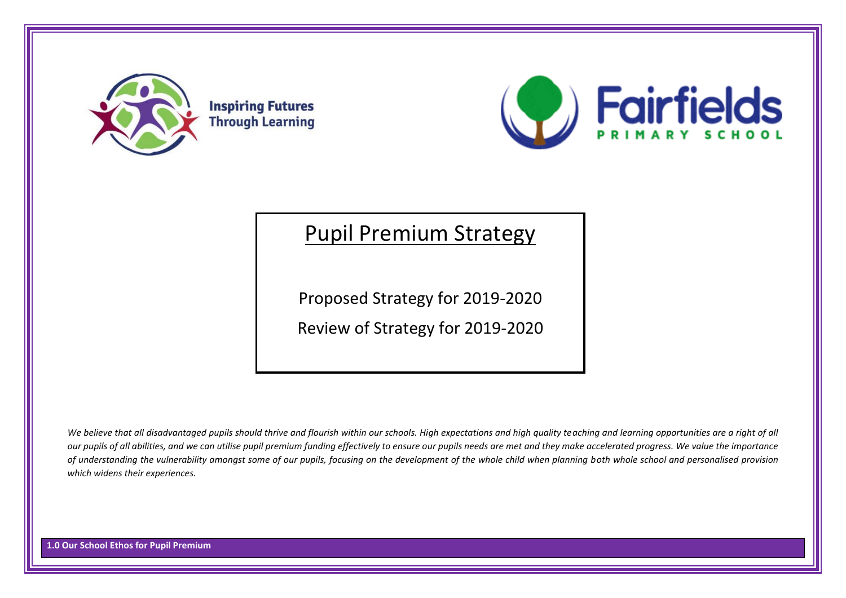



# Pupil Premium Strategy

Proposed Strategy for 2019-2020

Review of Strategy for 2019-2020

We believe that all disadvantaged pupils should thrive and flourish within our schools. High expectations and high quality teaching and learning opportunities are a right of all *our pupils of all abilities, and we can utilise pupil premium funding effectively to ensure our pupils needs are met and they make accelerated progress. We value the importance of understanding the vulnerability amongst some of our pupils, focusing on the development of the whole child when planning both whole school and personalised provision which widens their experiences.*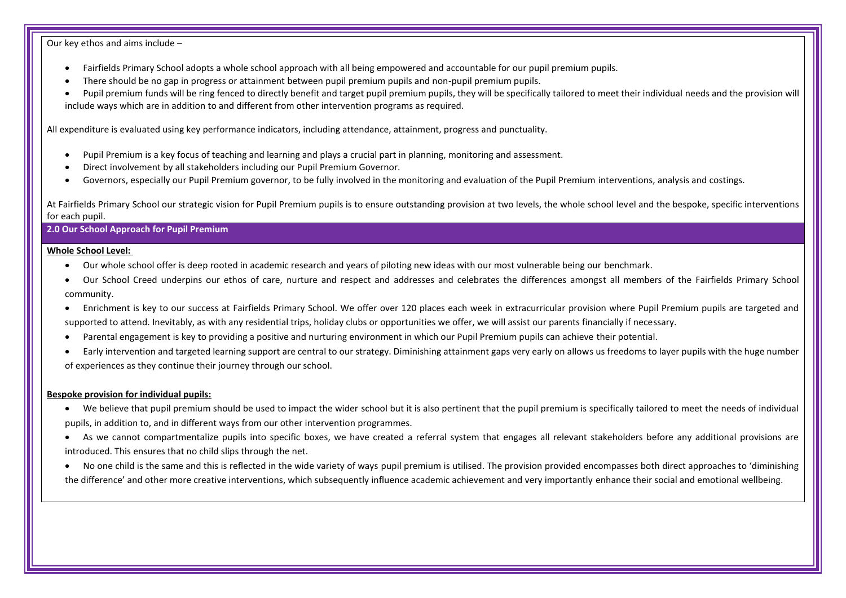Our key ethos and aims include –

- Fairfields Primary School adopts a whole school approach with all being empowered and accountable for our pupil premium pupils.
- There should be no gap in progress or attainment between pupil premium pupils and non-pupil premium pupils.
- Pupil premium funds will be ring fenced to directly benefit and target pupil premium pupils, they will be specifically tailored to meet their individual needs and the provision will include ways which are in addition to and different from other intervention programs as required.

All expenditure is evaluated using key performance indicators, including attendance, attainment, progress and punctuality.

- Pupil Premium is a key focus of teaching and learning and plays a crucial part in planning, monitoring and assessment.
- Direct involvement by all stakeholders including our Pupil Premium Governor.
- Governors, especially our Pupil Premium governor, to be fully involved in the monitoring and evaluation of the Pupil Premium interventions, analysis and costings.

At Fairfields Primary School our strategic vision for Pupil Premium pupils is to ensure outstanding provision at two levels, the whole school level and the bespoke, specific interventions for each pupil.

**2.0 Our School Approach for Pupil Premium**

#### **Whole School Level:**

- Our whole school offer is deep rooted in academic research and years of piloting new ideas with our most vulnerable being our benchmark.
- Our School Creed underpins our ethos of care, nurture and respect and addresses and celebrates the differences amongst all members of the Fairfields Primary School community.
- Enrichment is key to our success at Fairfields Primary School. We offer over 120 places each week in extracurricular provision where Pupil Premium pupils are targeted and supported to attend. Inevitably, as with any residential trips, holiday clubs or opportunities we offer, we will assist our parents financially if necessary.
- Parental engagement is key to providing a positive and nurturing environment in which our Pupil Premium pupils can achieve their potential.
- Early intervention and targeted learning support are central to our strategy. Diminishing attainment gaps very early on allows us freedoms to layer pupils with the huge number of experiences as they continue their journey through our school.

#### **Bespoke provision for individual pupils:**

- We believe that pupil premium should be used to impact the wider school but it is also pertinent that the pupil premium is specifically tailored to meet the needs of individual pupils, in addition to, and in different ways from our other intervention programmes.
- As we cannot compartmentalize pupils into specific boxes, we have created a referral system that engages all relevant stakeholders before any additional provisions are introduced. This ensures that no child slips through the net.
- No one child is the same and this is reflected in the wide variety of ways pupil premium is utilised. The provision provided encompasses both direct approaches to 'diminishing the difference' and other more creative interventions, which subsequently influence academic achievement and very importantly enhance their social and emotional wellbeing.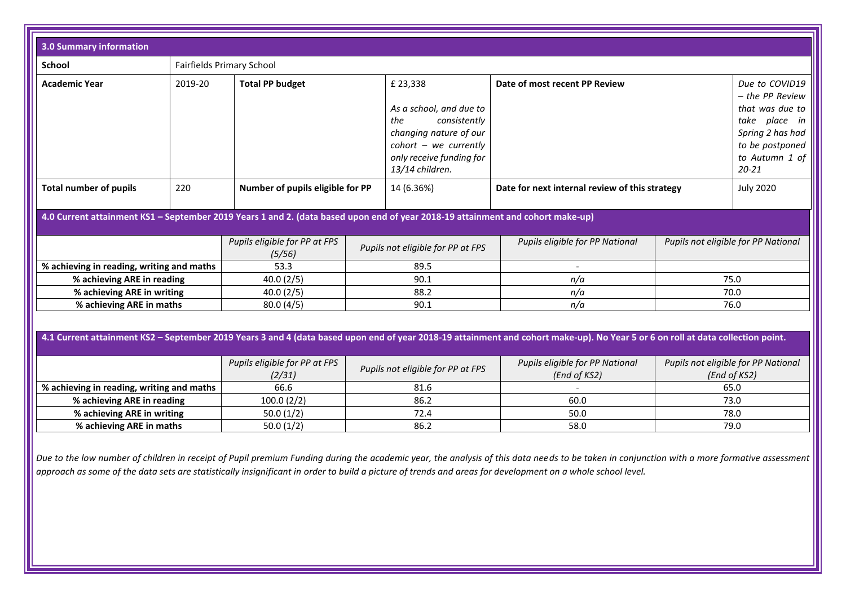| 3.0 Summary information                                                                                                                                                         |                                         |                                         |                                   |                                                                                                                                                               |                                                                                 |                                                     |                                                                                                                                                |
|---------------------------------------------------------------------------------------------------------------------------------------------------------------------------------|-----------------------------------------|-----------------------------------------|-----------------------------------|---------------------------------------------------------------------------------------------------------------------------------------------------------------|---------------------------------------------------------------------------------|-----------------------------------------------------|------------------------------------------------------------------------------------------------------------------------------------------------|
| <b>School</b>                                                                                                                                                                   |                                         | <b>Fairfields Primary School</b>        |                                   |                                                                                                                                                               |                                                                                 |                                                     |                                                                                                                                                |
| <b>Academic Year</b>                                                                                                                                                            | 2019-20                                 | <b>Total PP budget</b>                  |                                   | £23,338<br>As a school, and due to<br>consistently<br>the<br>changing nature of our<br>$cohort - we currently$<br>only receive funding for<br>13/14 children. | Date of most recent PP Review<br>Date for next internal review of this strategy |                                                     | Due to COVID19<br>- the PP Review<br>that was due to<br>take<br>place in<br>Spring 2 has had<br>to be postponed<br>to Autumn 1 of<br>$20 - 21$ |
| <b>Total number of pupils</b>                                                                                                                                                   | 220                                     | Number of pupils eligible for PP        |                                   | 14 (6.36%)                                                                                                                                                    |                                                                                 |                                                     | <b>July 2020</b>                                                                                                                               |
| 4.0 Current attainment KS1 - September 2019 Years 1 and 2. (data based upon end of year 2018-19 attainment and cohort make-up)                                                  |                                         |                                         |                                   |                                                                                                                                                               |                                                                                 |                                                     |                                                                                                                                                |
|                                                                                                                                                                                 |                                         | Pupils eligible for PP at FPS<br>(5/56) |                                   | Pupils not eligible for PP at FPS                                                                                                                             | Pupils eligible for PP National                                                 |                                                     | Pupils not eligible for PP National                                                                                                            |
| % achieving in reading, writing and maths                                                                                                                                       |                                         | 53.3                                    |                                   | 89.5                                                                                                                                                          |                                                                                 |                                                     |                                                                                                                                                |
| % achieving ARE in reading                                                                                                                                                      |                                         | 40.0(2/5)                               | 90.1                              |                                                                                                                                                               | n/a                                                                             |                                                     | 75.0                                                                                                                                           |
| % achieving ARE in writing                                                                                                                                                      |                                         | 40.0(2/5)                               | 88.2                              |                                                                                                                                                               | n/a                                                                             | 70.0                                                |                                                                                                                                                |
| % achieving ARE in maths                                                                                                                                                        |                                         | 80.0(4/5)                               | 90.1<br>n/a                       |                                                                                                                                                               |                                                                                 | 76.0                                                |                                                                                                                                                |
| 4.1 Current attainment KS2 - September 2019 Years 3 and 4 (data based upon end of year 2018-19 attainment and cohort make-up). No Year 5 or 6 on roll at data collection point. |                                         |                                         |                                   |                                                                                                                                                               |                                                                                 |                                                     |                                                                                                                                                |
|                                                                                                                                                                                 | Pupils eligible for PP at FPS<br>(2/31) |                                         | Pupils not eligible for PP at FPS | Pupils eligible for PP National<br>(End of KS2)                                                                                                               |                                                                                 | Pupils not eligible for PP National<br>(End of KS2) |                                                                                                                                                |
| % achieving in reading, writing and maths                                                                                                                                       |                                         | 66.6                                    |                                   | 81.6                                                                                                                                                          |                                                                                 |                                                     | 65.0                                                                                                                                           |
| % achieving ARE in reading                                                                                                                                                      |                                         | 100.0(2/2)                              |                                   | 86.2                                                                                                                                                          | 60.0                                                                            |                                                     | 73.0                                                                                                                                           |
| % achieving ARE in writing                                                                                                                                                      |                                         | 50.0(1/2)                               |                                   | 72.4                                                                                                                                                          | 50.0                                                                            |                                                     | 78.0                                                                                                                                           |
| % achieving ARE in maths                                                                                                                                                        |                                         | 50.0(1/2)                               |                                   | 86.2                                                                                                                                                          | 58.0                                                                            |                                                     | 79.0                                                                                                                                           |

*Due to the low number of children in receipt of Pupil premium Funding during the academic year, the analysis of this data needs to be taken in conjunction with a more formative assessment approach as some of the data sets are statistically insignificant in order to build a picture of trends and areas for development on a whole school level.*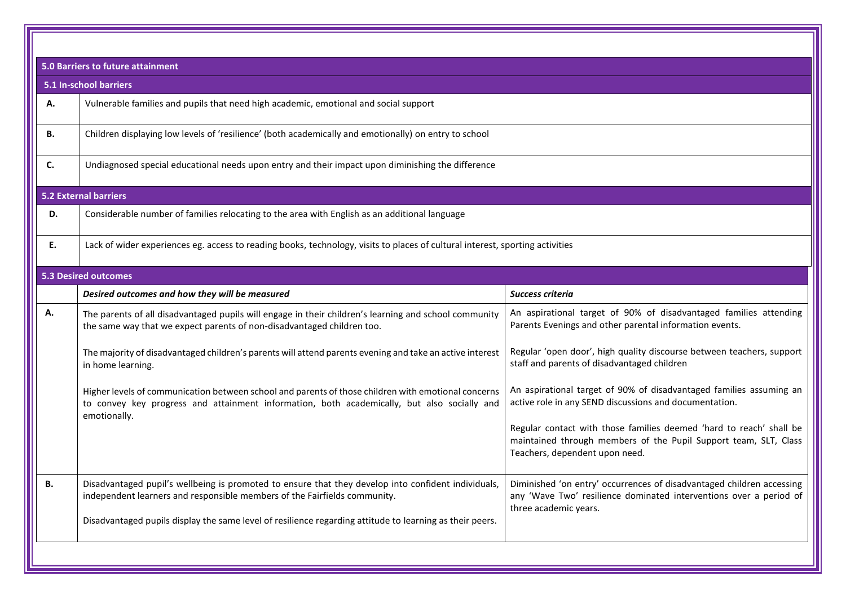|           | <b>5.0 Barriers to future attainment</b>                                                                                                                                                           |                                                                                                                                                                           |  |  |  |
|-----------|----------------------------------------------------------------------------------------------------------------------------------------------------------------------------------------------------|---------------------------------------------------------------------------------------------------------------------------------------------------------------------------|--|--|--|
|           | 5.1 In-school barriers                                                                                                                                                                             |                                                                                                                                                                           |  |  |  |
| Α.        | Vulnerable families and pupils that need high academic, emotional and social support                                                                                                               |                                                                                                                                                                           |  |  |  |
| В.        | Children displaying low levels of 'resilience' (both academically and emotionally) on entry to school                                                                                              |                                                                                                                                                                           |  |  |  |
| C.        | Undiagnosed special educational needs upon entry and their impact upon diminishing the difference                                                                                                  |                                                                                                                                                                           |  |  |  |
|           | <b>5.2 External barriers</b>                                                                                                                                                                       |                                                                                                                                                                           |  |  |  |
| D.        | Considerable number of families relocating to the area with English as an additional language                                                                                                      |                                                                                                                                                                           |  |  |  |
| Ε.        | Lack of wider experiences eg. access to reading books, technology, visits to places of cultural interest, sporting activities                                                                      |                                                                                                                                                                           |  |  |  |
|           | <b>5.3 Desired outcomes</b>                                                                                                                                                                        |                                                                                                                                                                           |  |  |  |
|           | Desired outcomes and how they will be measured                                                                                                                                                     | Success criteria                                                                                                                                                          |  |  |  |
| Α.        | The parents of all disadvantaged pupils will engage in their children's learning and school community<br>the same way that we expect parents of non-disadvantaged children too.                    | An aspirational target of 90% of disadvantaged families attending<br>Parents Evenings and other parental information events.                                              |  |  |  |
|           | The majority of disadvantaged children's parents will attend parents evening and take an active interest<br>in home learning.                                                                      | Regular 'open door', high quality discourse between teachers, support<br>staff and parents of disadvantaged children                                                      |  |  |  |
|           | Higher levels of communication between school and parents of those children with emotional concerns<br>to convey key progress and attainment information, both academically, but also socially and | An aspirational target of 90% of disadvantaged families assuming an<br>active role in any SEND discussions and documentation.                                             |  |  |  |
|           | emotionally.                                                                                                                                                                                       | Regular contact with those families deemed 'hard to reach' shall be<br>maintained through members of the Pupil Support team, SLT, Class<br>Teachers, dependent upon need. |  |  |  |
| <b>B.</b> | Disadvantaged pupil's wellbeing is promoted to ensure that they develop into confident individuals,<br>independent learners and responsible members of the Fairfields community.                   | Diminished 'on entry' occurrences of disadvantaged children accessing<br>any 'Wave Two' resilience dominated interventions over a period of<br>three academic years.      |  |  |  |
|           | Disadvantaged pupils display the same level of resilience regarding attitude to learning as their peers.                                                                                           |                                                                                                                                                                           |  |  |  |
|           |                                                                                                                                                                                                    |                                                                                                                                                                           |  |  |  |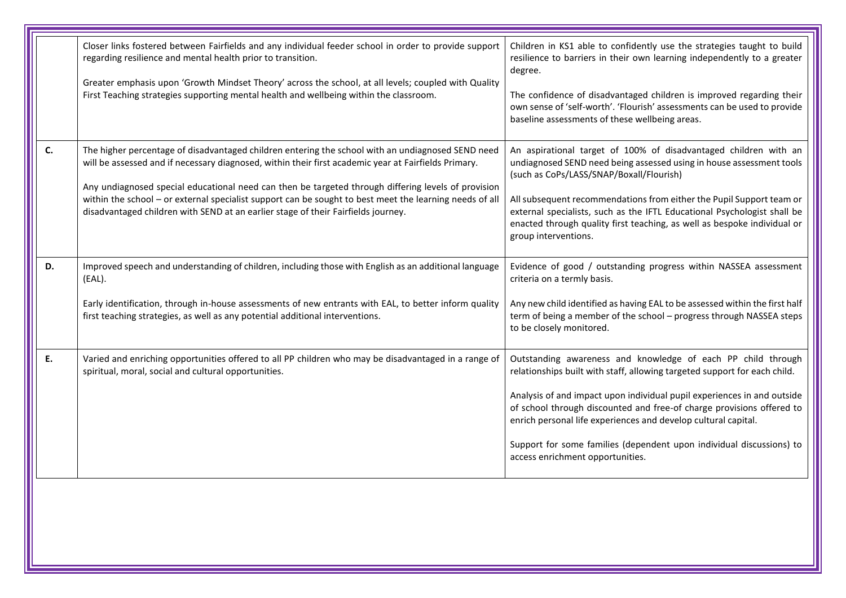|    | Closer links fostered between Fairfields and any individual feeder school in order to provide support<br>regarding resilience and mental health prior to transition.<br>Greater emphasis upon 'Growth Mindset Theory' across the school, at all levels; coupled with Quality<br>First Teaching strategies supporting mental health and wellbeing within the classroom.                                                                                                                                           | Children in KS1 able to confidently use the strategies taught to build<br>resilience to barriers in their own learning independently to a greater<br>degree.<br>The confidence of disadvantaged children is improved regarding their<br>own sense of 'self-worth'. 'Flourish' assessments can be used to provide<br>baseline assessments of these wellbeing areas.                                                                                                          |
|----|------------------------------------------------------------------------------------------------------------------------------------------------------------------------------------------------------------------------------------------------------------------------------------------------------------------------------------------------------------------------------------------------------------------------------------------------------------------------------------------------------------------|-----------------------------------------------------------------------------------------------------------------------------------------------------------------------------------------------------------------------------------------------------------------------------------------------------------------------------------------------------------------------------------------------------------------------------------------------------------------------------|
| C. | The higher percentage of disadvantaged children entering the school with an undiagnosed SEND need<br>will be assessed and if necessary diagnosed, within their first academic year at Fairfields Primary.<br>Any undiagnosed special educational need can then be targeted through differing levels of provision<br>within the school - or external specialist support can be sought to best meet the learning needs of all<br>disadvantaged children with SEND at an earlier stage of their Fairfields journey. | An aspirational target of 100% of disadvantaged children with an<br>undiagnosed SEND need being assessed using in house assessment tools<br>(such as CoPs/LASS/SNAP/Boxall/Flourish)<br>All subsequent recommendations from either the Pupil Support team or<br>external specialists, such as the IFTL Educational Psychologist shall be<br>enacted through quality first teaching, as well as bespoke individual or<br>group interventions.                                |
| D. | Improved speech and understanding of children, including those with English as an additional language<br>(EAL).<br>Early identification, through in-house assessments of new entrants with EAL, to better inform quality<br>first teaching strategies, as well as any potential additional interventions.                                                                                                                                                                                                        | Evidence of good / outstanding progress within NASSEA assessment<br>criteria on a termly basis.<br>Any new child identified as having EAL to be assessed within the first half<br>term of being a member of the school - progress through NASSEA steps<br>to be closely monitored.                                                                                                                                                                                          |
| E. | Varied and enriching opportunities offered to all PP children who may be disadvantaged in a range of<br>spiritual, moral, social and cultural opportunities.                                                                                                                                                                                                                                                                                                                                                     | Outstanding awareness and knowledge of each PP child through<br>relationships built with staff, allowing targeted support for each child.<br>Analysis of and impact upon individual pupil experiences in and outside<br>of school through discounted and free-of charge provisions offered to<br>enrich personal life experiences and develop cultural capital.<br>Support for some families (dependent upon individual discussions) to<br>access enrichment opportunities. |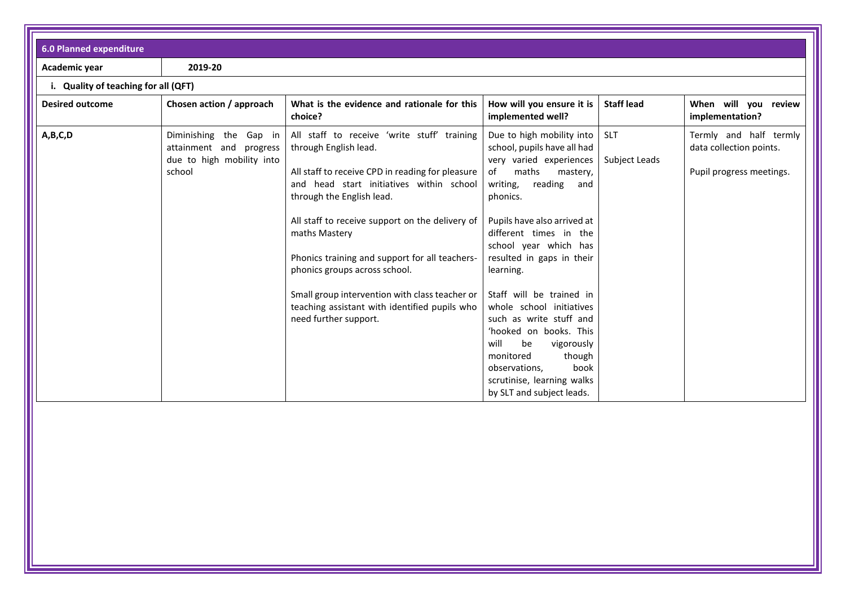| <b>6.0 Planned expenditure</b>       |                                                                                          |                                                                                                                                                                                                                                                                                                                                                                                                                                                                                      |                                                                                                                                                                                                                                                                                                                                                                                                                                                                                                                                          |                             |                                                                               |
|--------------------------------------|------------------------------------------------------------------------------------------|--------------------------------------------------------------------------------------------------------------------------------------------------------------------------------------------------------------------------------------------------------------------------------------------------------------------------------------------------------------------------------------------------------------------------------------------------------------------------------------|------------------------------------------------------------------------------------------------------------------------------------------------------------------------------------------------------------------------------------------------------------------------------------------------------------------------------------------------------------------------------------------------------------------------------------------------------------------------------------------------------------------------------------------|-----------------------------|-------------------------------------------------------------------------------|
| Academic year                        | 2019-20                                                                                  |                                                                                                                                                                                                                                                                                                                                                                                                                                                                                      |                                                                                                                                                                                                                                                                                                                                                                                                                                                                                                                                          |                             |                                                                               |
| i. Quality of teaching for all (QFT) |                                                                                          |                                                                                                                                                                                                                                                                                                                                                                                                                                                                                      |                                                                                                                                                                                                                                                                                                                                                                                                                                                                                                                                          |                             |                                                                               |
| <b>Desired outcome</b>               | Chosen action / approach                                                                 | What is the evidence and rationale for this<br>choice?                                                                                                                                                                                                                                                                                                                                                                                                                               | How will you ensure it is<br>implemented well?                                                                                                                                                                                                                                                                                                                                                                                                                                                                                           | <b>Staff lead</b>           | When will you review<br>implementation?                                       |
| A,B,C,D                              | Diminishing the Gap in<br>attainment and progress<br>due to high mobility into<br>school | All staff to receive 'write stuff' training<br>through English lead.<br>All staff to receive CPD in reading for pleasure<br>and head start initiatives within school<br>through the English lead.<br>All staff to receive support on the delivery of<br>maths Mastery<br>Phonics training and support for all teachers-<br>phonics groups across school.<br>Small group intervention with class teacher or<br>teaching assistant with identified pupils who<br>need further support. | Due to high mobility into<br>school, pupils have all had<br>very varied experiences<br>maths<br>mastery,<br>of<br>reading<br>writing,<br>and<br>phonics.<br>Pupils have also arrived at<br>different times in the<br>school year which has<br>resulted in gaps in their<br>learning.<br>Staff will be trained in<br>whole school initiatives<br>such as write stuff and<br>'hooked on books. This<br>be<br>will<br>vigorously<br>monitored<br>though<br>book<br>observations,<br>scrutinise, learning walks<br>by SLT and subject leads. | <b>SLT</b><br>Subject Leads | Termly and half termly<br>data collection points.<br>Pupil progress meetings. |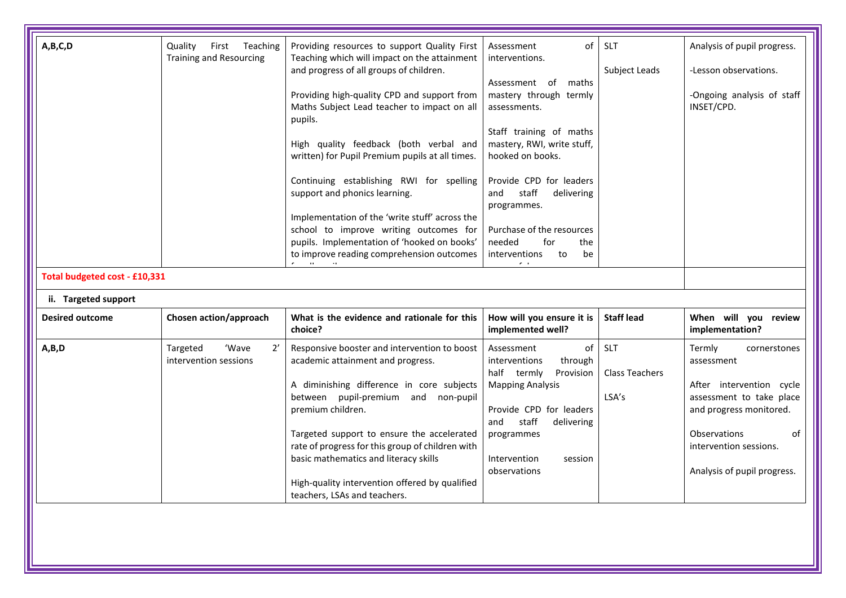| A,B,C,D<br>Total budgeted cost - £10,331 | Quality<br>First<br>Teaching<br><b>Training and Resourcing</b> | Providing resources to support Quality First<br>Teaching which will impact on the attainment<br>and progress of all groups of children.<br>Providing high-quality CPD and support from<br>Maths Subject Lead teacher to impact on all<br>pupils.<br>High quality feedback (both verbal and<br>written) for Pupil Premium pupils at all times.<br>Continuing establishing RWI for spelling<br>support and phonics learning.<br>Implementation of the 'write stuff' across the<br>school to improve writing outcomes for<br>pupils. Implementation of 'hooked on books'<br>to improve reading comprehension outcomes | of<br>Assessment<br>interventions.<br>Assessment<br>maths<br>of<br>mastery through termly<br>assessments.<br>Staff training of maths<br>mastery, RWI, write stuff,<br>hooked on books.<br>Provide CPD for leaders<br>staff<br>delivering<br>and<br>programmes.<br>Purchase of the resources<br>needed<br>for<br>the<br>interventions<br>to<br>be | <b>SLT</b><br>Subject Leads           | Analysis of pupil progress.<br>-Lesson observations.<br>-Ongoing analysis of staff<br>INSET/CPD.                                                                                                              |
|------------------------------------------|----------------------------------------------------------------|--------------------------------------------------------------------------------------------------------------------------------------------------------------------------------------------------------------------------------------------------------------------------------------------------------------------------------------------------------------------------------------------------------------------------------------------------------------------------------------------------------------------------------------------------------------------------------------------------------------------|--------------------------------------------------------------------------------------------------------------------------------------------------------------------------------------------------------------------------------------------------------------------------------------------------------------------------------------------------|---------------------------------------|---------------------------------------------------------------------------------------------------------------------------------------------------------------------------------------------------------------|
| ii. Targeted support                     |                                                                |                                                                                                                                                                                                                                                                                                                                                                                                                                                                                                                                                                                                                    |                                                                                                                                                                                                                                                                                                                                                  |                                       |                                                                                                                                                                                                               |
| <b>Desired outcome</b>                   | Chosen action/approach                                         | What is the evidence and rationale for this<br>choice?                                                                                                                                                                                                                                                                                                                                                                                                                                                                                                                                                             | How will you ensure it is<br>implemented well?                                                                                                                                                                                                                                                                                                   | <b>Staff lead</b>                     | When will you review<br>implementation?                                                                                                                                                                       |
| A,B,D                                    | 'Wave<br>2'<br>Targeted<br>intervention sessions               | Responsive booster and intervention to boost<br>academic attainment and progress.<br>A diminishing difference in core subjects<br>between pupil-premium and non-pupil<br>premium children.<br>Targeted support to ensure the accelerated<br>rate of progress for this group of children with<br>basic mathematics and literacy skills<br>High-quality intervention offered by qualified<br>teachers, LSAs and teachers.                                                                                                                                                                                            | of<br>Assessment<br>interventions<br>through<br>half termly<br>Provision<br><b>Mapping Analysis</b><br>Provide CPD for leaders<br>staff<br>and<br>delivering<br>programmes<br>Intervention<br>session<br>observations                                                                                                                            | SLT<br><b>Class Teachers</b><br>LSA's | Termly<br>cornerstones<br>assessment<br>After intervention cycle<br>assessment to take place<br>and progress monitored.<br><b>Observations</b><br>οf<br>intervention sessions.<br>Analysis of pupil progress. |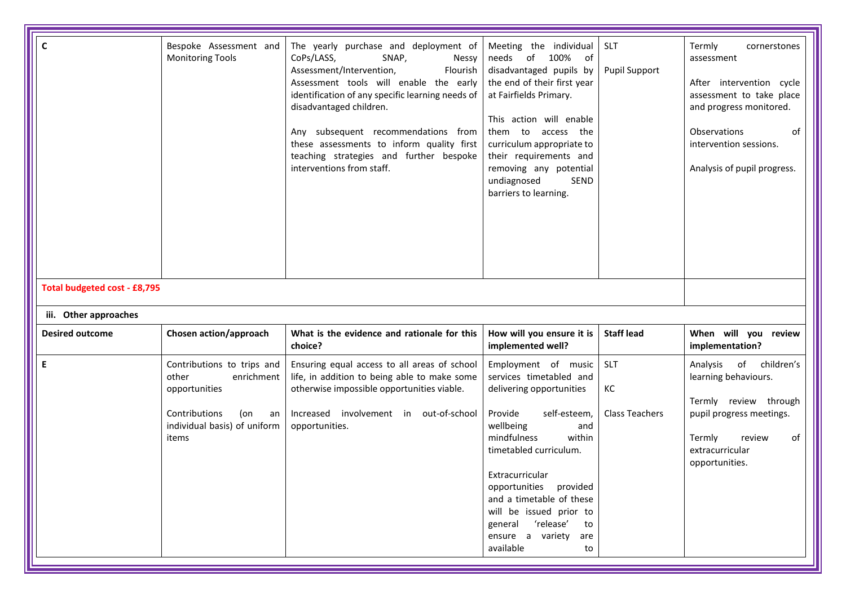| $\mathbf c$<br>Total budgeted cost - £8,795 | Bespoke Assessment and<br><b>Monitoring Tools</b>                                                                                         | The yearly purchase and deployment of<br>CoPs/LASS,<br>SNAP,<br>Nessy<br>Assessment/Intervention,<br>Flourish<br>Assessment tools will enable the early<br>identification of any specific learning needs of<br>disadvantaged children.<br>Any subsequent recommendations from<br>these assessments to inform quality first<br>teaching strategies and further bespoke<br>interventions from staff. | Meeting the individual<br>needs<br>of 100%<br>of<br>disadvantaged pupils by<br>the end of their first year<br>at Fairfields Primary.<br>This action will enable<br>them to access the<br>curriculum appropriate to<br>their requirements and<br>removing any potential<br>SEND<br>undiagnosed<br>barriers to learning.                                 | <b>SLT</b><br>Pupil Support               | Termly<br>cornerstones<br>assessment<br>After intervention cycle<br>assessment to take place<br>and progress monitored.<br>Observations<br>of<br>intervention sessions.<br>Analysis of pupil progress. |
|---------------------------------------------|-------------------------------------------------------------------------------------------------------------------------------------------|----------------------------------------------------------------------------------------------------------------------------------------------------------------------------------------------------------------------------------------------------------------------------------------------------------------------------------------------------------------------------------------------------|--------------------------------------------------------------------------------------------------------------------------------------------------------------------------------------------------------------------------------------------------------------------------------------------------------------------------------------------------------|-------------------------------------------|--------------------------------------------------------------------------------------------------------------------------------------------------------------------------------------------------------|
| iii. Other approaches                       |                                                                                                                                           |                                                                                                                                                                                                                                                                                                                                                                                                    |                                                                                                                                                                                                                                                                                                                                                        |                                           |                                                                                                                                                                                                        |
|                                             |                                                                                                                                           |                                                                                                                                                                                                                                                                                                                                                                                                    |                                                                                                                                                                                                                                                                                                                                                        |                                           |                                                                                                                                                                                                        |
| <b>Desired outcome</b>                      | Chosen action/approach                                                                                                                    | What is the evidence and rationale for this<br>choice?                                                                                                                                                                                                                                                                                                                                             | How will you ensure it is<br>implemented well?                                                                                                                                                                                                                                                                                                         | <b>Staff lead</b>                         | When will you review<br>implementation?                                                                                                                                                                |
| $\mathsf E$                                 | Contributions to trips and<br>other<br>enrichment<br>opportunities<br>Contributions<br>(on<br>an<br>individual basis) of uniform<br>items | Ensuring equal access to all areas of school<br>life, in addition to being able to make some<br>otherwise impossible opportunities viable.<br>Increased involvement in out-of-school<br>opportunities.                                                                                                                                                                                             | Employment of music<br>services timetabled and<br>delivering opportunities<br>Provide<br>self-esteem,<br>wellbeing<br>and<br>mindfulness<br>within<br>timetabled curriculum.<br>Extracurricular<br>opportunities provided<br>and a timetable of these<br>will be issued prior to<br>general 'release'<br>to<br>ensure a variety are<br>available<br>to | <b>SLT</b><br>KC<br><b>Class Teachers</b> | Analysis of children's<br>learning behaviours.<br>Termly review through<br>pupil progress meetings.<br>of<br>Termly<br>review<br>extracurricular<br>opportunities.                                     |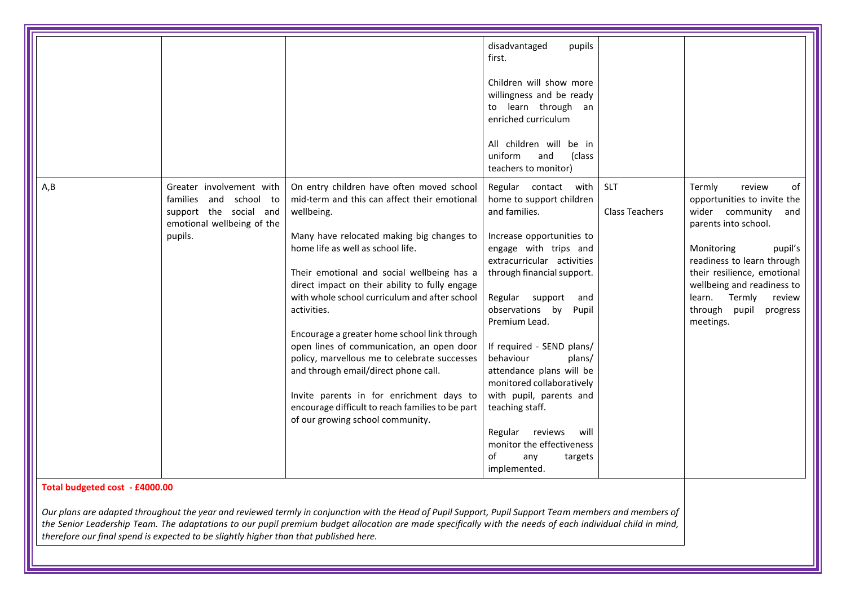|                                |                                                                                                                       |                                                                                                                                                                                                                                                                                                                                                                                                                                                                                                                                                                                                                                                                                    | disadvantaged<br>pupils<br>first.<br>Children will show more<br>willingness and be ready<br>to learn through an<br>enriched curriculum<br>All children will be in<br>uniform<br>and<br>(class<br>teachers to monitor)                                                                                                                                                                                                                                                                                                 |                                     |                                                                                                                                                                                                                                                                                                        |
|--------------------------------|-----------------------------------------------------------------------------------------------------------------------|------------------------------------------------------------------------------------------------------------------------------------------------------------------------------------------------------------------------------------------------------------------------------------------------------------------------------------------------------------------------------------------------------------------------------------------------------------------------------------------------------------------------------------------------------------------------------------------------------------------------------------------------------------------------------------|-----------------------------------------------------------------------------------------------------------------------------------------------------------------------------------------------------------------------------------------------------------------------------------------------------------------------------------------------------------------------------------------------------------------------------------------------------------------------------------------------------------------------|-------------------------------------|--------------------------------------------------------------------------------------------------------------------------------------------------------------------------------------------------------------------------------------------------------------------------------------------------------|
| A, B                           | Greater involvement with<br>families and school to<br>support the social and<br>emotional wellbeing of the<br>pupils. | On entry children have often moved school<br>mid-term and this can affect their emotional<br>wellbeing.<br>Many have relocated making big changes to<br>home life as well as school life.<br>Their emotional and social wellbeing has a<br>direct impact on their ability to fully engage<br>with whole school curriculum and after school<br>activities.<br>Encourage a greater home school link through<br>open lines of communication, an open door<br>policy, marvellous me to celebrate successes<br>and through email/direct phone call.<br>Invite parents in for enrichment days to<br>encourage difficult to reach families to be part<br>of our growing school community. | Regular contact with<br>home to support children<br>and families.<br>Increase opportunities to<br>engage with trips and<br>extracurricular activities<br>through financial support.<br>Regular support<br>and<br>observations by<br>Pupil<br>Premium Lead.<br>If required - SEND plans/<br>behaviour<br>plans/<br>attendance plans will be<br>monitored collaboratively<br>with pupil, parents and<br>teaching staff.<br>will<br>Regular reviews<br>monitor the effectiveness<br>of<br>any<br>targets<br>implemented. | <b>SLT</b><br><b>Class Teachers</b> | Termly<br>review<br>of<br>opportunities to invite the<br>wider community<br>and<br>parents into school.<br>Monitoring<br>pupil's<br>readiness to learn through<br>their resilience, emotional<br>wellbeing and readiness to<br>Termly<br>learn.<br>review<br>pupil<br>through<br>progress<br>meetings. |
| Total budgeted cost - £4000.00 |                                                                                                                       | Our plans are adapted throughout the year and reviewed termly in conjunction with the Head of Pupil Support, Pupil Support Team members and members of<br>the Senior Leadership Team. The adaptations to our pupil premium budget allocation are made specifically with the needs of each individual child in mind,                                                                                                                                                                                                                                                                                                                                                                |                                                                                                                                                                                                                                                                                                                                                                                                                                                                                                                       |                                     |                                                                                                                                                                                                                                                                                                        |

*therefore our final spend is expected to be slightly higher than that published here.*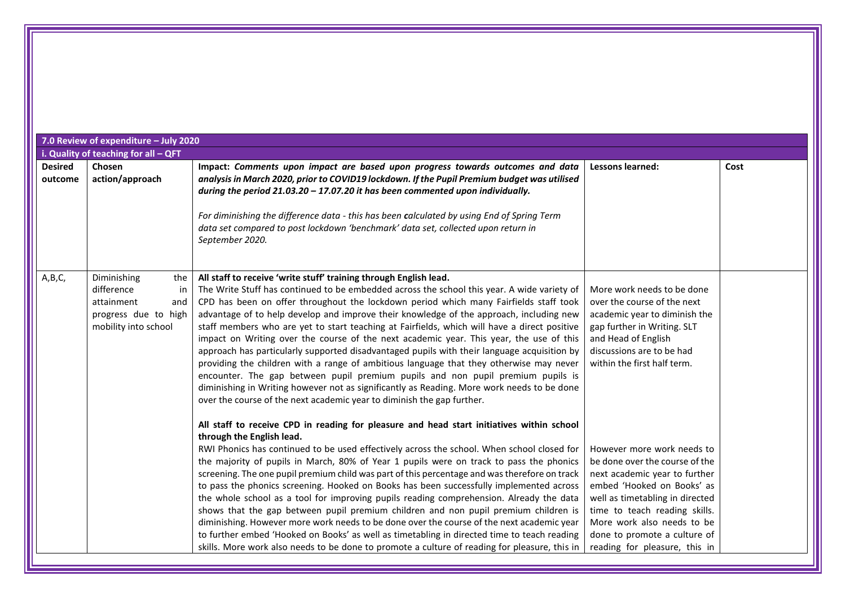|                           | 7.0 Review of expenditure - July 2020                                                                       |                                                                                                                                                                                                                                                                                                                                                                                                                                                                                                                                                                                                                                                                                                                                                                                                                                                                                                                                                                                                                                                                                                                                |                                                                                                                                                                                                                                                                                                |      |
|---------------------------|-------------------------------------------------------------------------------------------------------------|--------------------------------------------------------------------------------------------------------------------------------------------------------------------------------------------------------------------------------------------------------------------------------------------------------------------------------------------------------------------------------------------------------------------------------------------------------------------------------------------------------------------------------------------------------------------------------------------------------------------------------------------------------------------------------------------------------------------------------------------------------------------------------------------------------------------------------------------------------------------------------------------------------------------------------------------------------------------------------------------------------------------------------------------------------------------------------------------------------------------------------|------------------------------------------------------------------------------------------------------------------------------------------------------------------------------------------------------------------------------------------------------------------------------------------------|------|
|                           | i. Quality of teaching for all - QFT                                                                        |                                                                                                                                                                                                                                                                                                                                                                                                                                                                                                                                                                                                                                                                                                                                                                                                                                                                                                                                                                                                                                                                                                                                |                                                                                                                                                                                                                                                                                                |      |
| <b>Desired</b><br>outcome | Chosen<br>action/approach                                                                                   | Impact: Comments upon impact are based upon progress towards outcomes and data<br>analysis in March 2020, prior to COVID19 lockdown. If the Pupil Premium budget was utilised<br>during the period 21.03.20 - 17.07.20 it has been commented upon individually.<br>For diminishing the difference data - this has been calculated by using End of Spring Term<br>data set compared to post lockdown 'benchmark' data set, collected upon return in<br>September 2020.                                                                                                                                                                                                                                                                                                                                                                                                                                                                                                                                                                                                                                                          | <b>Lessons learned:</b>                                                                                                                                                                                                                                                                        | Cost |
| A, B, C,                  | Diminishing<br>the<br>difference<br>in<br>attainment<br>and<br>progress due to high<br>mobility into school | All staff to receive 'write stuff' training through English lead.<br>The Write Stuff has continued to be embedded across the school this year. A wide variety of<br>CPD has been on offer throughout the lockdown period which many Fairfields staff took<br>advantage of to help develop and improve their knowledge of the approach, including new<br>staff members who are yet to start teaching at Fairfields, which will have a direct positive<br>impact on Writing over the course of the next academic year. This year, the use of this<br>approach has particularly supported disadvantaged pupils with their language acquisition by<br>providing the children with a range of ambitious language that they otherwise may never<br>encounter. The gap between pupil premium pupils and non pupil premium pupils is<br>diminishing in Writing however not as significantly as Reading. More work needs to be done<br>over the course of the next academic year to diminish the gap further.<br>All staff to receive CPD in reading for pleasure and head start initiatives within school<br>through the English lead. | More work needs to be done<br>over the course of the next<br>academic year to diminish the<br>gap further in Writing. SLT<br>and Head of English<br>discussions are to be had<br>within the first half term.                                                                                   |      |
|                           |                                                                                                             | RWI Phonics has continued to be used effectively across the school. When school closed for<br>the majority of pupils in March, 80% of Year 1 pupils were on track to pass the phonics<br>screening. The one pupil premium child was part of this percentage and was therefore on track<br>to pass the phonics screening. Hooked on Books has been successfully implemented across<br>the whole school as a tool for improving pupils reading comprehension. Already the data<br>shows that the gap between pupil premium children and non pupil premium children is<br>diminishing. However more work needs to be done over the course of the next academic year<br>to further embed 'Hooked on Books' as well as timetabling in directed time to teach reading<br>skills. More work also needs to be done to promote a culture of reading for pleasure, this in                                                                                                                                                                                                                                                               | However more work needs to<br>be done over the course of the<br>next academic year to further<br>embed 'Hooked on Books' as<br>well as timetabling in directed<br>time to teach reading skills.<br>More work also needs to be<br>done to promote a culture of<br>reading for pleasure, this in |      |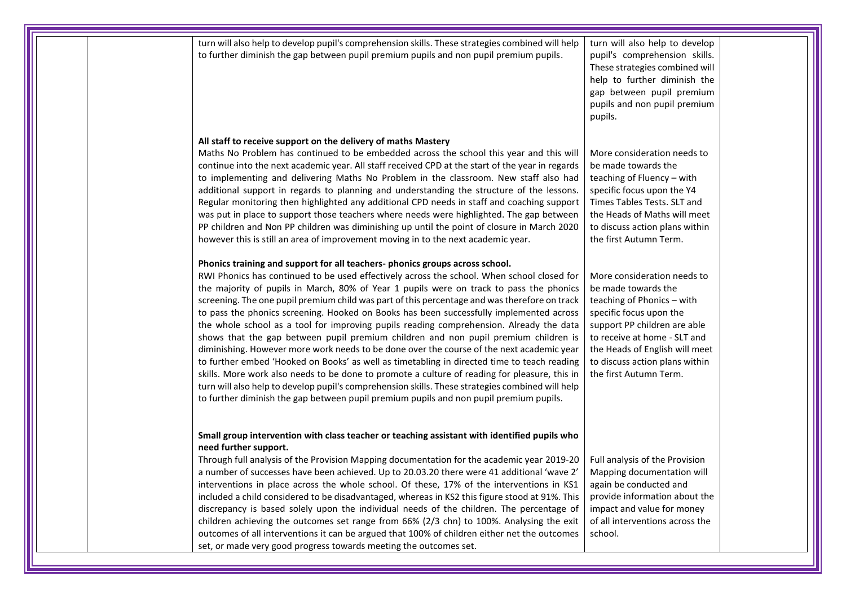| turn will also help to develop pupil's comprehension skills. These strategies combined will help<br>to further diminish the gap between pupil premium pupils and non pupil premium pupils.                                                                                                                                                                                                                                                                                                                                                                                                                                                                                                                                                                                                                                                                                                                                                                                                                                                                                                                                                    | turn will also help to develop<br>pupil's comprehension skills.<br>These strategies combined will<br>help to further diminish the<br>gap between pupil premium<br>pupils and non pupil premium<br>pupils.                                                                 |  |
|-----------------------------------------------------------------------------------------------------------------------------------------------------------------------------------------------------------------------------------------------------------------------------------------------------------------------------------------------------------------------------------------------------------------------------------------------------------------------------------------------------------------------------------------------------------------------------------------------------------------------------------------------------------------------------------------------------------------------------------------------------------------------------------------------------------------------------------------------------------------------------------------------------------------------------------------------------------------------------------------------------------------------------------------------------------------------------------------------------------------------------------------------|---------------------------------------------------------------------------------------------------------------------------------------------------------------------------------------------------------------------------------------------------------------------------|--|
| All staff to receive support on the delivery of maths Mastery<br>Maths No Problem has continued to be embedded across the school this year and this will<br>continue into the next academic year. All staff received CPD at the start of the year in regards<br>to implementing and delivering Maths No Problem in the classroom. New staff also had<br>additional support in regards to planning and understanding the structure of the lessons.<br>Regular monitoring then highlighted any additional CPD needs in staff and coaching support<br>was put in place to support those teachers where needs were highlighted. The gap between<br>PP children and Non PP children was diminishing up until the point of closure in March 2020<br>however this is still an area of improvement moving in to the next academic year.                                                                                                                                                                                                                                                                                                               | More consideration needs to<br>be made towards the<br>teaching of Fluency - with<br>specific focus upon the Y4<br>Times Tables Tests. SLT and<br>the Heads of Maths will meet<br>to discuss action plans within<br>the first Autumn Term.                                 |  |
| Phonics training and support for all teachers-phonics groups across school.<br>RWI Phonics has continued to be used effectively across the school. When school closed for<br>the majority of pupils in March, 80% of Year 1 pupils were on track to pass the phonics<br>screening. The one pupil premium child was part of this percentage and was therefore on track<br>to pass the phonics screening. Hooked on Books has been successfully implemented across<br>the whole school as a tool for improving pupils reading comprehension. Already the data<br>shows that the gap between pupil premium children and non pupil premium children is<br>diminishing. However more work needs to be done over the course of the next academic year<br>to further embed 'Hooked on Books' as well as timetabling in directed time to teach reading<br>skills. More work also needs to be done to promote a culture of reading for pleasure, this in<br>turn will also help to develop pupil's comprehension skills. These strategies combined will help<br>to further diminish the gap between pupil premium pupils and non pupil premium pupils. | More consideration needs to<br>be made towards the<br>teaching of Phonics - with<br>specific focus upon the<br>support PP children are able<br>to receive at home - SLT and<br>the Heads of English will meet<br>to discuss action plans within<br>the first Autumn Term. |  |
| Small group intervention with class teacher or teaching assistant with identified pupils who<br>need further support.<br>Through full analysis of the Provision Mapping documentation for the academic year 2019-20<br>a number of successes have been achieved. Up to 20.03.20 there were 41 additional 'wave 2'<br>interventions in place across the whole school. Of these, 17% of the interventions in KS1<br>included a child considered to be disadvantaged, whereas in KS2 this figure stood at 91%. This<br>discrepancy is based solely upon the individual needs of the children. The percentage of<br>children achieving the outcomes set range from 66% (2/3 chn) to 100%. Analysing the exit<br>outcomes of all interventions it can be argued that 100% of children either net the outcomes<br>set, or made very good progress towards meeting the outcomes set.                                                                                                                                                                                                                                                                 | Full analysis of the Provision<br>Mapping documentation will<br>again be conducted and<br>provide information about the<br>impact and value for money<br>of all interventions across the<br>school.                                                                       |  |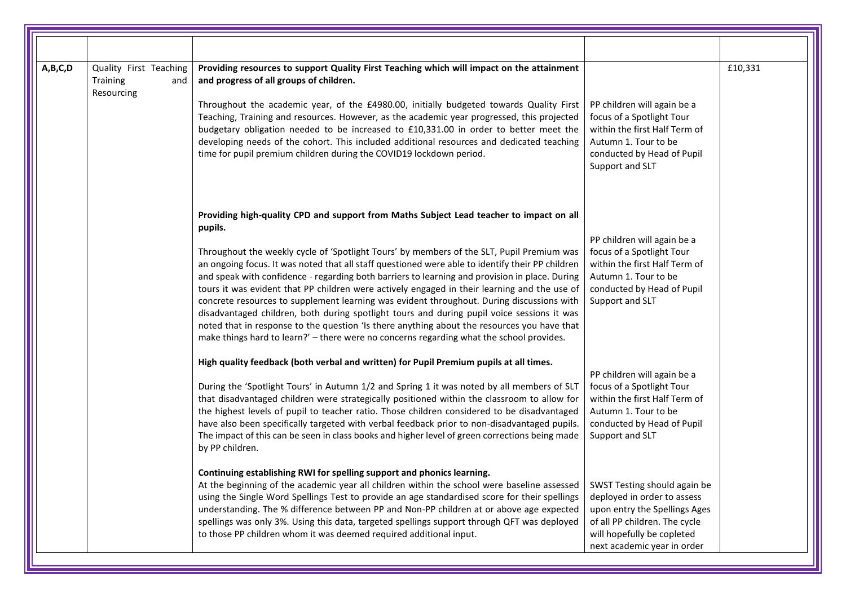| A,B,C,D | Quality First Teaching<br>Training<br>and<br>Resourcing | Providing resources to support Quality First Teaching which will impact on the attainment<br>and progress of all groups of children.<br>Throughout the academic year, of the £4980.00, initially budgeted towards Quality First<br>Teaching, Training and resources. However, as the academic year progressed, this projected<br>budgetary obligation needed to be increased to £10,331.00 in order to better meet the<br>developing needs of the cohort. This included additional resources and dedicated teaching<br>time for pupil premium children during the COVID19 lockdown period.                                                                                                                                                                                                                                                                                                                                                                                                                                                                                                                                                        | PP children will again be a<br>focus of a Spotlight Tour<br>within the first Half Term of<br>Autumn 1. Tour to be<br>conducted by Head of Pupil<br>Support and SLT                                                                                                                                                                                               | £10,331 |
|---------|---------------------------------------------------------|---------------------------------------------------------------------------------------------------------------------------------------------------------------------------------------------------------------------------------------------------------------------------------------------------------------------------------------------------------------------------------------------------------------------------------------------------------------------------------------------------------------------------------------------------------------------------------------------------------------------------------------------------------------------------------------------------------------------------------------------------------------------------------------------------------------------------------------------------------------------------------------------------------------------------------------------------------------------------------------------------------------------------------------------------------------------------------------------------------------------------------------------------|------------------------------------------------------------------------------------------------------------------------------------------------------------------------------------------------------------------------------------------------------------------------------------------------------------------------------------------------------------------|---------|
|         |                                                         | Providing high-quality CPD and support from Maths Subject Lead teacher to impact on all<br>pupils.<br>Throughout the weekly cycle of 'Spotlight Tours' by members of the SLT, Pupil Premium was<br>an ongoing focus. It was noted that all staff questioned were able to identify their PP children<br>and speak with confidence - regarding both barriers to learning and provision in place. During<br>tours it was evident that PP children were actively engaged in their learning and the use of<br>concrete resources to supplement learning was evident throughout. During discussions with<br>disadvantaged children, both during spotlight tours and during pupil voice sessions it was<br>noted that in response to the question 'Is there anything about the resources you have that<br>make things hard to learn?' - there were no concerns regarding what the school provides.                                                                                                                                                                                                                                                       | PP children will again be a<br>focus of a Spotlight Tour<br>within the first Half Term of<br>Autumn 1. Tour to be<br>conducted by Head of Pupil<br>Support and SLT                                                                                                                                                                                               |         |
|         |                                                         | High quality feedback (both verbal and written) for Pupil Premium pupils at all times.<br>During the 'Spotlight Tours' in Autumn 1/2 and Spring 1 it was noted by all members of SLT<br>that disadvantaged children were strategically positioned within the classroom to allow for<br>the highest levels of pupil to teacher ratio. Those children considered to be disadvantaged<br>have also been specifically targeted with verbal feedback prior to non-disadvantaged pupils.<br>The impact of this can be seen in class books and higher level of green corrections being made<br>by PP children.<br>Continuing establishing RWI for spelling support and phonics learning.<br>At the beginning of the academic year all children within the school were baseline assessed<br>using the Single Word Spellings Test to provide an age standardised score for their spellings<br>understanding. The % difference between PP and Non-PP children at or above age expected<br>spellings was only 3%. Using this data, targeted spellings support through QFT was deployed<br>to those PP children whom it was deemed required additional input. | PP children will again be a<br>focus of a Spotlight Tour<br>within the first Half Term of<br>Autumn 1. Tour to be<br>conducted by Head of Pupil<br>Support and SLT<br>SWST Testing should again be<br>deployed in order to assess<br>upon entry the Spellings Ages<br>of all PP children. The cycle<br>will hopefully be copleted<br>next academic year in order |         |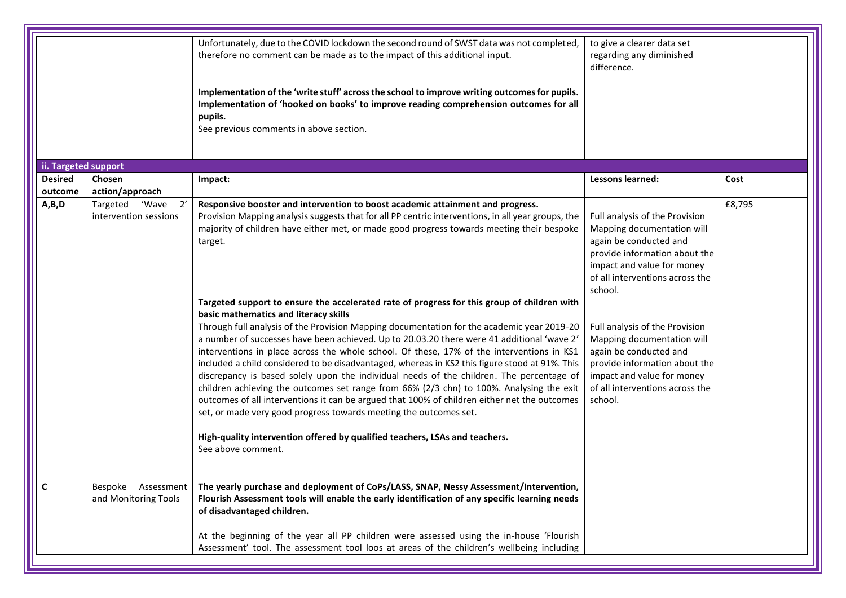|                      |                                               | Unfortunately, due to the COVID lockdown the second round of SWST data was not completed,<br>therefore no comment can be made as to the impact of this additional input.<br>Implementation of the 'write stuff' across the school to improve writing outcomes for pupils.<br>Implementation of 'hooked on books' to improve reading comprehension outcomes for all<br>pupils.<br>See previous comments in above section.                                                                                                                                                                                                                                                                                                                                                                                                                                                                                                                                                                                                                                                                                                                                                                                                                                                                          | to give a clearer data set<br>regarding any diminished<br>difference.                                                                                                                                                                                                                                                                                                                                      |        |
|----------------------|-----------------------------------------------|---------------------------------------------------------------------------------------------------------------------------------------------------------------------------------------------------------------------------------------------------------------------------------------------------------------------------------------------------------------------------------------------------------------------------------------------------------------------------------------------------------------------------------------------------------------------------------------------------------------------------------------------------------------------------------------------------------------------------------------------------------------------------------------------------------------------------------------------------------------------------------------------------------------------------------------------------------------------------------------------------------------------------------------------------------------------------------------------------------------------------------------------------------------------------------------------------------------------------------------------------------------------------------------------------|------------------------------------------------------------------------------------------------------------------------------------------------------------------------------------------------------------------------------------------------------------------------------------------------------------------------------------------------------------------------------------------------------------|--------|
| ii. Targeted support |                                               |                                                                                                                                                                                                                                                                                                                                                                                                                                                                                                                                                                                                                                                                                                                                                                                                                                                                                                                                                                                                                                                                                                                                                                                                                                                                                                   |                                                                                                                                                                                                                                                                                                                                                                                                            |        |
| <b>Desired</b>       | Chosen                                        | Impact:                                                                                                                                                                                                                                                                                                                                                                                                                                                                                                                                                                                                                                                                                                                                                                                                                                                                                                                                                                                                                                                                                                                                                                                                                                                                                           | Lessons learned:                                                                                                                                                                                                                                                                                                                                                                                           | Cost   |
| outcome              | action/approach                               |                                                                                                                                                                                                                                                                                                                                                                                                                                                                                                                                                                                                                                                                                                                                                                                                                                                                                                                                                                                                                                                                                                                                                                                                                                                                                                   |                                                                                                                                                                                                                                                                                                                                                                                                            |        |
| A,B,D                | 2'<br>Targeted 'Wave<br>intervention sessions | Responsive booster and intervention to boost academic attainment and progress.<br>Provision Mapping analysis suggests that for all PP centric interventions, in all year groups, the<br>majority of children have either met, or made good progress towards meeting their bespoke<br>target.<br>Targeted support to ensure the accelerated rate of progress for this group of children with<br>basic mathematics and literacy skills<br>Through full analysis of the Provision Mapping documentation for the academic year 2019-20<br>a number of successes have been achieved. Up to 20.03.20 there were 41 additional 'wave 2'<br>interventions in place across the whole school. Of these, 17% of the interventions in KS1<br>included a child considered to be disadvantaged, whereas in KS2 this figure stood at 91%. This<br>discrepancy is based solely upon the individual needs of the children. The percentage of<br>children achieving the outcomes set range from 66% (2/3 chn) to 100%. Analysing the exit<br>outcomes of all interventions it can be argued that 100% of children either net the outcomes<br>set, or made very good progress towards meeting the outcomes set.<br>High-quality intervention offered by qualified teachers, LSAs and teachers.<br>See above comment. | Full analysis of the Provision<br>Mapping documentation will<br>again be conducted and<br>provide information about the<br>impact and value for money<br>of all interventions across the<br>school.<br>Full analysis of the Provision<br>Mapping documentation will<br>again be conducted and<br>provide information about the<br>impact and value for money<br>of all interventions across the<br>school. | £8,795 |
| C                    | Bespoke Assessment<br>and Monitoring Tools    | The yearly purchase and deployment of CoPs/LASS, SNAP, Nessy Assessment/Intervention,<br>Flourish Assessment tools will enable the early identification of any specific learning needs<br>of disadvantaged children.<br>At the beginning of the year all PP children were assessed using the in-house 'Flourish<br>Assessment' tool. The assessment tool loos at areas of the children's wellbeing including                                                                                                                                                                                                                                                                                                                                                                                                                                                                                                                                                                                                                                                                                                                                                                                                                                                                                      |                                                                                                                                                                                                                                                                                                                                                                                                            |        |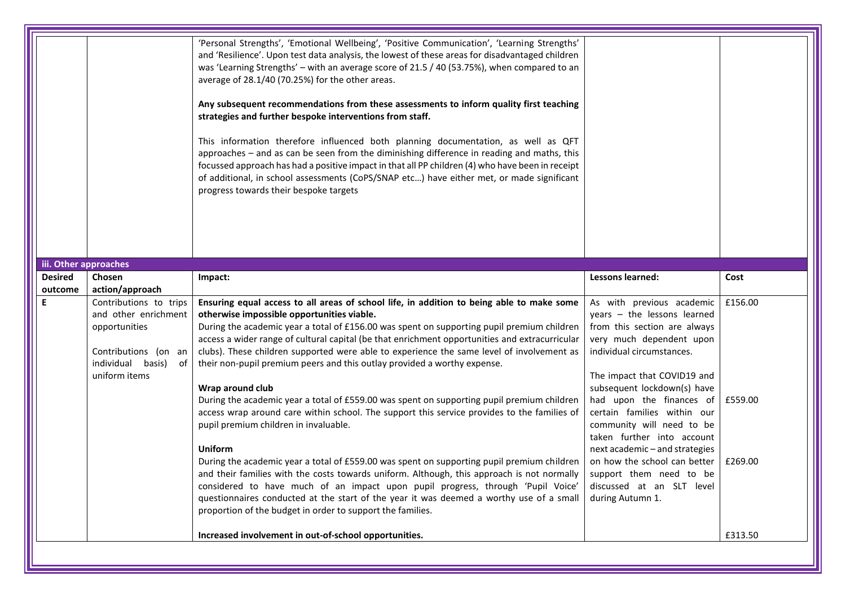| iii. Other approaches |                                                                                                                                  | 'Personal Strengths', 'Emotional Wellbeing', 'Positive Communication', 'Learning Strengths'<br>and 'Resilience'. Upon test data analysis, the lowest of these areas for disadvantaged children<br>was 'Learning Strengths' - with an average score of 21.5 / 40 (53.75%), when compared to an<br>average of 28.1/40 (70.25%) for the other areas.<br>Any subsequent recommendations from these assessments to inform quality first teaching<br>strategies and further bespoke interventions from staff.<br>This information therefore influenced both planning documentation, as well as QFT<br>approaches - and as can be seen from the diminishing difference in reading and maths, this<br>focussed approach has had a positive impact in that all PP children (4) who have been in receipt<br>of additional, in school assessments (CoPS/SNAP etc) have either met, or made significant<br>progress towards their bespoke targets |                                                                                                                                                                                                                                                                              |                    |
|-----------------------|----------------------------------------------------------------------------------------------------------------------------------|---------------------------------------------------------------------------------------------------------------------------------------------------------------------------------------------------------------------------------------------------------------------------------------------------------------------------------------------------------------------------------------------------------------------------------------------------------------------------------------------------------------------------------------------------------------------------------------------------------------------------------------------------------------------------------------------------------------------------------------------------------------------------------------------------------------------------------------------------------------------------------------------------------------------------------------|------------------------------------------------------------------------------------------------------------------------------------------------------------------------------------------------------------------------------------------------------------------------------|--------------------|
| <b>Desired</b>        | Chosen                                                                                                                           | Impact:                                                                                                                                                                                                                                                                                                                                                                                                                                                                                                                                                                                                                                                                                                                                                                                                                                                                                                                               | Lessons learned:                                                                                                                                                                                                                                                             | Cost               |
| outcome               | action/approach                                                                                                                  |                                                                                                                                                                                                                                                                                                                                                                                                                                                                                                                                                                                                                                                                                                                                                                                                                                                                                                                                       |                                                                                                                                                                                                                                                                              |                    |
|                       | Contributions to trips<br>and other enrichment<br>opportunities<br>Contributions (on an<br>individual basis) of<br>uniform items | Ensuring equal access to all areas of school life, in addition to being able to make some<br>otherwise impossible opportunities viable.<br>During the academic year a total of £156.00 was spent on supporting pupil premium children<br>access a wider range of cultural capital (be that enrichment opportunities and extracurricular<br>clubs). These children supported were able to experience the same level of involvement as<br>their non-pupil premium peers and this outlay provided a worthy expense.<br>Wrap around club<br>During the academic year a total of £559.00 was spent on supporting pupil premium children<br>access wrap around care within school. The support this service provides to the families of                                                                                                                                                                                                     | As with previous academic<br>$years - the lessons learned$<br>from this section are always<br>very much dependent upon<br>individual circumstances.<br>The impact that COVID19 and<br>subsequent lockdown(s) have<br>had upon the finances of<br>certain families within our | £156.00<br>£559.00 |
|                       |                                                                                                                                  | pupil premium children in invaluable.<br><b>Uniform</b><br>During the academic year a total of £559.00 was spent on supporting pupil premium children<br>and their families with the costs towards uniform. Although, this approach is not normally<br>considered to have much of an impact upon pupil progress, through 'Pupil Voice'<br>questionnaires conducted at the start of the year it was deemed a worthy use of a small<br>proportion of the budget in order to support the families.<br>Increased involvement in out-of-school opportunities.                                                                                                                                                                                                                                                                                                                                                                              | community will need to be<br>taken further into account<br>next academic - and strategies<br>on how the school can better<br>support them need to be<br>discussed at an SLT level<br>during Autumn 1.                                                                        | £269.00<br>£313.50 |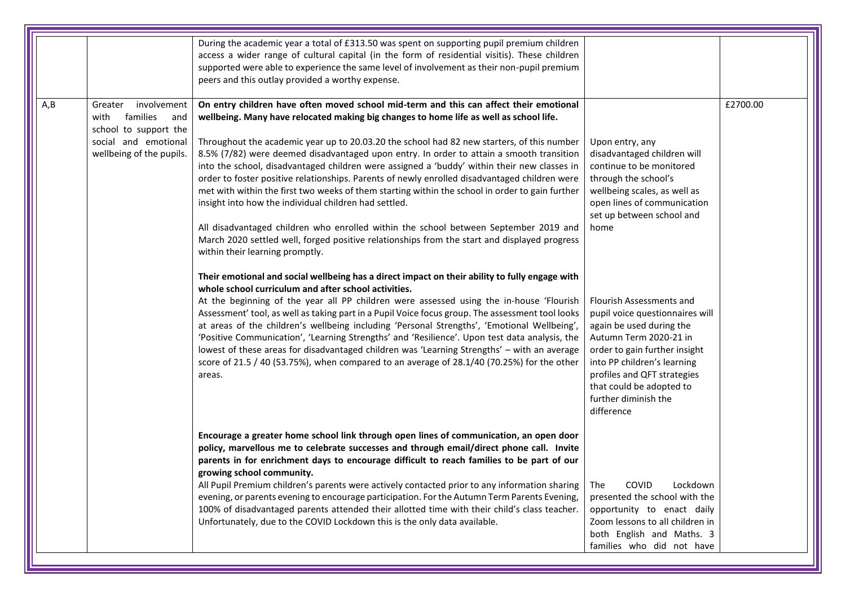|      |                                                                                                                                | During the academic year a total of £313.50 was spent on supporting pupil premium children<br>access a wider range of cultural capital (in the form of residential visitis). These children<br>supported were able to experience the same level of involvement as their non-pupil premium<br>peers and this outlay provided a worthy expense.                                                                                                                                                                                                                                                                                                                                                                                                                                                                                                                                                                                                                                                                                                                                                                                                                                                                                                                                                                                                                                                                                                                                                                                                                                                                                                                                                                                     |                                                                                                                                                                                                                                                                                                                                                                                                                                                                                              |          |
|------|--------------------------------------------------------------------------------------------------------------------------------|-----------------------------------------------------------------------------------------------------------------------------------------------------------------------------------------------------------------------------------------------------------------------------------------------------------------------------------------------------------------------------------------------------------------------------------------------------------------------------------------------------------------------------------------------------------------------------------------------------------------------------------------------------------------------------------------------------------------------------------------------------------------------------------------------------------------------------------------------------------------------------------------------------------------------------------------------------------------------------------------------------------------------------------------------------------------------------------------------------------------------------------------------------------------------------------------------------------------------------------------------------------------------------------------------------------------------------------------------------------------------------------------------------------------------------------------------------------------------------------------------------------------------------------------------------------------------------------------------------------------------------------------------------------------------------------------------------------------------------------|----------------------------------------------------------------------------------------------------------------------------------------------------------------------------------------------------------------------------------------------------------------------------------------------------------------------------------------------------------------------------------------------------------------------------------------------------------------------------------------------|----------|
| A, B | involvement<br>Greater<br>families<br>with<br>and<br>school to support the<br>social and emotional<br>wellbeing of the pupils. | On entry children have often moved school mid-term and this can affect their emotional<br>wellbeing. Many have relocated making big changes to home life as well as school life.<br>Throughout the academic year up to 20.03.20 the school had 82 new starters, of this number<br>8.5% (7/82) were deemed disadvantaged upon entry. In order to attain a smooth transition<br>into the school, disadvantaged children were assigned a 'buddy' within their new classes in<br>order to foster positive relationships. Parents of newly enrolled disadvantaged children were<br>met with within the first two weeks of them starting within the school in order to gain further<br>insight into how the individual children had settled.<br>All disadvantaged children who enrolled within the school between September 2019 and<br>March 2020 settled well, forged positive relationships from the start and displayed progress<br>within their learning promptly.<br>Their emotional and social wellbeing has a direct impact on their ability to fully engage with<br>whole school curriculum and after school activities.<br>At the beginning of the year all PP children were assessed using the in-house 'Flourish<br>Assessment' tool, as well as taking part in a Pupil Voice focus group. The assessment tool looks<br>at areas of the children's wellbeing including 'Personal Strengths', 'Emotional Wellbeing',<br>'Positive Communication', 'Learning Strengths' and 'Resilience'. Upon test data analysis, the<br>lowest of these areas for disadvantaged children was 'Learning Strengths' - with an average<br>score of 21.5 / 40 (53.75%), when compared to an average of 28.1/40 (70.25%) for the other<br>areas. | Upon entry, any<br>disadvantaged children will<br>continue to be monitored<br>through the school's<br>wellbeing scales, as well as<br>open lines of communication<br>set up between school and<br>home<br>Flourish Assessments and<br>pupil voice questionnaires will<br>again be used during the<br>Autumn Term 2020-21 in<br>order to gain further insight<br>into PP children's learning<br>profiles and QFT strategies<br>that could be adopted to<br>further diminish the<br>difference | £2700.00 |
|      |                                                                                                                                | Encourage a greater home school link through open lines of communication, an open door<br>policy, marvellous me to celebrate successes and through email/direct phone call. Invite<br>parents in for enrichment days to encourage difficult to reach families to be part of our<br>growing school community.<br>All Pupil Premium children's parents were actively contacted prior to any information sharing<br>evening, or parents evening to encourage participation. For the Autumn Term Parents Evening,<br>100% of disadvantaged parents attended their allotted time with their child's class teacher.<br>Unfortunately, due to the COVID Lockdown this is the only data available.                                                                                                                                                                                                                                                                                                                                                                                                                                                                                                                                                                                                                                                                                                                                                                                                                                                                                                                                                                                                                                        | COVID<br>Lockdown<br>The<br>presented the school with the<br>opportunity to enact daily<br>Zoom lessons to all children in<br>both English and Maths. 3<br>families who did not have                                                                                                                                                                                                                                                                                                         |          |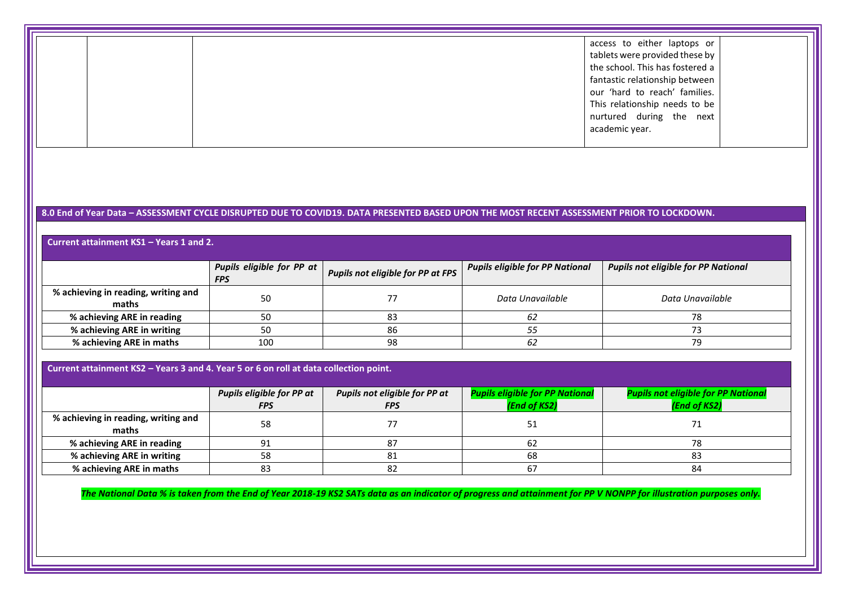|  | access to either laptops or     |  |
|--|---------------------------------|--|
|  |                                 |  |
|  | tablets were provided these by  |  |
|  | the school. This has fostered a |  |
|  | fantastic relationship between  |  |
|  | our 'hard to reach' families.   |  |
|  | This relationship needs to be   |  |
|  | nurtured during the next        |  |
|  | academic year.                  |  |
|  |                                 |  |

## **8.0 End of Year Data – ASSESSMENT CYCLE DISRUPTED DUE TO COVID19. DATA PRESENTED BASED UPON THE MOST RECENT ASSESSMENT PRIOR TO LOCKDOWN.**

## **Current attainment KS1 – Years 1 and 2.**

|                                              | <b>Pupils eligible for PP at</b><br><b>FPS</b> | <b>Pupils not eligible for PP at FPS</b> | Pupils eligible for PP National | <b>Pupils not eligible for PP National</b> |
|----------------------------------------------|------------------------------------------------|------------------------------------------|---------------------------------|--------------------------------------------|
| % achieving in reading, writing and<br>maths | 50                                             |                                          | Data Unavailable                | Data Unavailable                           |
| % achieving ARE in reading                   | 50                                             | 83                                       | 62                              | 78                                         |
| % achieving ARE in writing                   | 50                                             | 86                                       | ၁၁                              |                                            |
| % achieving ARE in maths                     | 100                                            | 98                                       | -62                             | 79                                         |

#### **Current attainment KS2 – Years 3 and 4. Year 5 or 6 on roll at data collection point.**

|                                              | <b>Pupils eligible for PP at</b><br><b>FPS</b> | Pupils not eligible for PP at<br><b>FPS</b> | <b>Pupils eligible for PP National</b><br>(End of KS2) | <b>Pupils not eligible for PP National</b><br>(End of KS2) |
|----------------------------------------------|------------------------------------------------|---------------------------------------------|--------------------------------------------------------|------------------------------------------------------------|
| % achieving in reading, writing and<br>maths | 58                                             |                                             |                                                        |                                                            |
| % achieving ARE in reading                   | 91                                             |                                             |                                                        |                                                            |
| % achieving ARE in writing                   | 58                                             |                                             | 68                                                     | 83                                                         |
| % achieving ARE in maths                     | 83                                             | ۵Z                                          |                                                        | 84                                                         |

*The National Data % is taken from the End of Year 2018-19 KS2 SATs data as an indicator of progress and attainment for PP V NONPP for illustration purposes only.*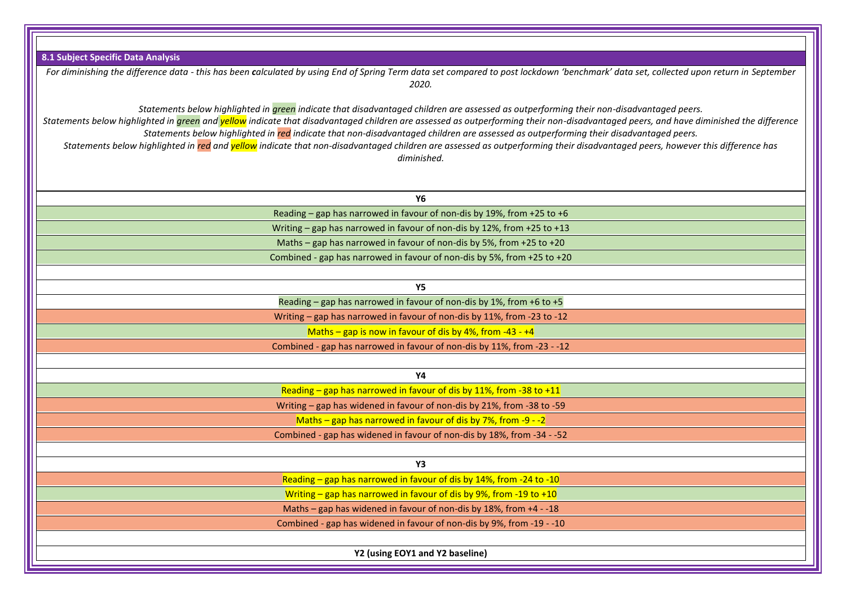| 8.1 Subject Specific Data Analysis                                                                                                                                                                                                                                                                                                                                                                                                                                                                                                                                                                                                                                              |
|---------------------------------------------------------------------------------------------------------------------------------------------------------------------------------------------------------------------------------------------------------------------------------------------------------------------------------------------------------------------------------------------------------------------------------------------------------------------------------------------------------------------------------------------------------------------------------------------------------------------------------------------------------------------------------|
|                                                                                                                                                                                                                                                                                                                                                                                                                                                                                                                                                                                                                                                                                 |
| For diminishing the difference data - this has been calculated by using End of Spring Term data set compared to post lockdown 'benchmark' data set, collected upon return in September<br>2020.                                                                                                                                                                                                                                                                                                                                                                                                                                                                                 |
| Statements below highlighted in <i>green</i> indicate that disadvantaged children are assessed as outperforming their non-disadvantaged peers.<br>Statements below highlighted in green and yellow indicate that disadvantaged children are assessed as outperforming their non-disadvantaged peers, and have diminished the difference<br>Statements below highlighted in red indicate that non-disadvantaged children are assessed as outperforming their disadvantaged peers.<br>Statements below highlighted in red and yellow indicate that non-disadvantaged children are assessed as outperforming their disadvantaged peers, however this difference has<br>diminished. |
| Y6                                                                                                                                                                                                                                                                                                                                                                                                                                                                                                                                                                                                                                                                              |
| Reading - gap has narrowed in favour of non-dis by 19%, from +25 to +6                                                                                                                                                                                                                                                                                                                                                                                                                                                                                                                                                                                                          |
| Writing - gap has narrowed in favour of non-dis by 12%, from +25 to +13                                                                                                                                                                                                                                                                                                                                                                                                                                                                                                                                                                                                         |
| Maths - gap has narrowed in favour of non-dis by 5%, from +25 to +20                                                                                                                                                                                                                                                                                                                                                                                                                                                                                                                                                                                                            |
| Combined - gap has narrowed in favour of non-dis by 5%, from +25 to +20                                                                                                                                                                                                                                                                                                                                                                                                                                                                                                                                                                                                         |
|                                                                                                                                                                                                                                                                                                                                                                                                                                                                                                                                                                                                                                                                                 |
| <b>Y5</b>                                                                                                                                                                                                                                                                                                                                                                                                                                                                                                                                                                                                                                                                       |
| Reading - gap has narrowed in favour of non-dis by 1%, from +6 to +5                                                                                                                                                                                                                                                                                                                                                                                                                                                                                                                                                                                                            |
| Writing - gap has narrowed in favour of non-dis by 11%, from -23 to -12                                                                                                                                                                                                                                                                                                                                                                                                                                                                                                                                                                                                         |
| Maths – gap is now in favour of dis by 4%, from -43 - $+4$                                                                                                                                                                                                                                                                                                                                                                                                                                                                                                                                                                                                                      |
| Combined - gap has narrowed in favour of non-dis by 11%, from -23 - -12                                                                                                                                                                                                                                                                                                                                                                                                                                                                                                                                                                                                         |
|                                                                                                                                                                                                                                                                                                                                                                                                                                                                                                                                                                                                                                                                                 |
| <b>Y4</b>                                                                                                                                                                                                                                                                                                                                                                                                                                                                                                                                                                                                                                                                       |
| Reading - gap has narrowed in favour of dis by 11%, from -38 to +11                                                                                                                                                                                                                                                                                                                                                                                                                                                                                                                                                                                                             |
| Writing - gap has widened in favour of non-dis by 21%, from -38 to -59                                                                                                                                                                                                                                                                                                                                                                                                                                                                                                                                                                                                          |
| Maths - gap has narrowed in favour of dis by 7%, from -9 - -2                                                                                                                                                                                                                                                                                                                                                                                                                                                                                                                                                                                                                   |
| Combined - gap has widened in favour of non-dis by 18%, from -34 - -52                                                                                                                                                                                                                                                                                                                                                                                                                                                                                                                                                                                                          |
|                                                                                                                                                                                                                                                                                                                                                                                                                                                                                                                                                                                                                                                                                 |
| <b>Y3</b>                                                                                                                                                                                                                                                                                                                                                                                                                                                                                                                                                                                                                                                                       |
| Reading - gap has narrowed in favour of dis by 14%, from -24 to -10                                                                                                                                                                                                                                                                                                                                                                                                                                                                                                                                                                                                             |
| Writing - gap has narrowed in favour of dis by 9%, from -19 to +10                                                                                                                                                                                                                                                                                                                                                                                                                                                                                                                                                                                                              |
| Maths - gap has widened in favour of non-dis by 18%, from +4 - -18                                                                                                                                                                                                                                                                                                                                                                                                                                                                                                                                                                                                              |
| Combined - gap has widened in favour of non-dis by 9%, from -19 - -10                                                                                                                                                                                                                                                                                                                                                                                                                                                                                                                                                                                                           |
|                                                                                                                                                                                                                                                                                                                                                                                                                                                                                                                                                                                                                                                                                 |
| Y2 (using EOY1 and Y2 baseline)                                                                                                                                                                                                                                                                                                                                                                                                                                                                                                                                                                                                                                                 |

IF